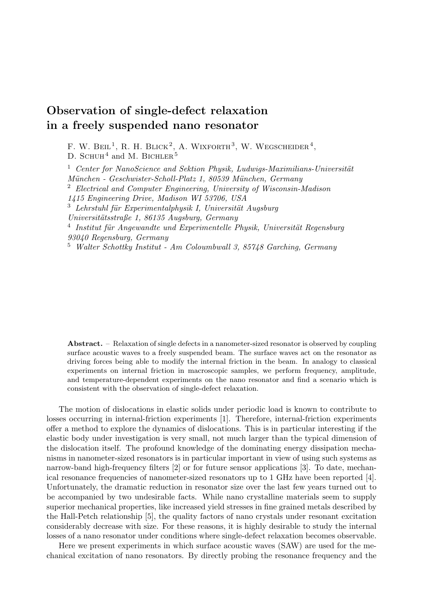## **Observation of single-defect relaxation in a freely suspended nano resonator**

F. W. BEIL<sup>1</sup>, R. H. BLICK<sup>2</sup>, A. WIXFORTH<sup>3</sup>, W. WEGSCHEIDER<sup>4</sup>, D. SCHUH<sup>4</sup> and M. BICHLER<sup>5</sup>

<sup>1</sup> *Center for NanoScience and Sektion Physik, Ludwigs-Maximilians-Universität Mu¨nchen - Geschwister-Scholl-Platz 1, 80539 Mu¨nchen, Germany* <sup>2</sup> *Electrical and Computer Engineering, University of Wisconsin-Madison 1415 Engineering Drive, Madison WI 53706, USA* <sup>3</sup> *Lehrstuhl fu¨r Experimentalphysik I, Universita¨t Augsburg Universita¨tsstraße 1, 86135 Augsburg, Germany* <sup>4</sup> Institut für Angewandte und Experimentelle Physik, Universität Regensburg *93040 Regensburg, Germany* <sup>5</sup> *Walter Schottky Institut - Am Coloumbwall 3, 85748 Garching, Germany*

**Abstract.** – Relaxation of single defects in a nanometer-sized resonator is observed by coupling surface acoustic waves to a freely suspended beam. The surface waves act on the resonator as driving forces being able to modify the internal friction in the beam. In analogy to classical experiments on internal friction in macroscopic samples, we perform frequency, amplitude, and temperature-dependent experiments on the nano resonator and find a scenario which is consistent with the observation of single-defect relaxation.

The motion of dislocations in elastic solids under periodic load is known to contribute to losses occurring in internal-friction experiments [1]. Therefore, internal-friction experiments offer a method to explore the dynamics of dislocations. This is in particular interesting if the elastic body under investigation is very small, not much larger than the typical dimension of the dislocation itself. The profound knowledge of the dominating energy dissipation mechanisms in nanometer-sized resonators is in particular important in view of using such systems as narrow-band high-frequency filters [2] or for future sensor applications [3]. To date, mechanical resonance frequencies of nanometer-sized resonators up to 1 GHz have been reported [4]. Unfortunately, the dramatic reduction in resonator size over the last few years turned out to be accompanied by two undesirable facts. While nano crystalline materials seem to supply superior mechanical properties, like increased yield stresses in fine grained metals described by the Hall-Petch relationship [5], the quality factors of nano crystals under resonant excitation considerably decrease with size. For these reasons, it is highly desirable to study the internal losses of a nano resonator under conditions where single-defect relaxation becomes observable.

Here we present experiments in which surface acoustic waves (SAW) are used for the mechanical excitation of nano resonators. By directly probing the resonance frequency and the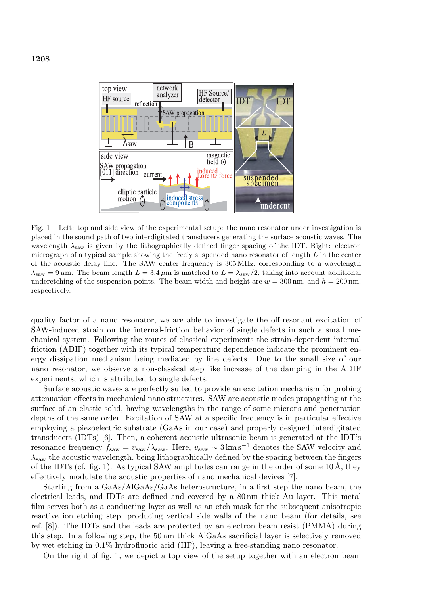

Fig. 1 – Left: top and side view of the experimental setup: the nano resonator under investigation is placed in the sound path of two interdigitated transducers generating the surface acoustic waves. The wavelength  $\lambda_{\text{saw}}$  is given by the lithographically defined finger spacing of the IDT. Right: electron micrograph of a typical sample showing the freely suspended nano resonator of length  $L$  in the center of the acoustic delay line. The SAW center frequency is 305 MHz, corresponding to a wavelength  $\lambda_{\text{saw}} = 9 \,\mu\text{m}$ . The beam length  $L = 3.4 \,\mu\text{m}$  is matched to  $L = \lambda_{\text{saw}}/2$ , taking into account additional underetching of the suspension points. The beam width and height are  $w = 300$  nm, and  $h = 200$  nm, respectively.

quality factor of a nano resonator, we are able to investigate the off-resonant excitation of SAW-induced strain on the internal-friction behavior of single defects in such a small mechanical system. Following the routes of classical experiments the strain-dependent internal friction (ADIF) together with its typical temperature dependence indicate the prominent energy dissipation mechanism being mediated by line defects. Due to the small size of our nano resonator, we observe a non-classical step like increase of the damping in the ADIF experiments, which is attributed to single defects.

Surface acoustic waves are perfectly suited to provide an excitation mechanism for probing attenuation effects in mechanical nano structures. SAW are acoustic modes propagating at the surface of an elastic solid, having wavelengths in the range of some microns and penetration depths of the same order. Excitation of SAW at a specific frequency is in particular effective employing a piezoelectric substrate (GaAs in our case) and properly designed interdigitated transducers (IDTs) [6]. Then, a coherent acoustic ultrasonic beam is generated at the IDT's resonance frequency  $f_{\text{saw}} = v_{\text{saw}}/\lambda_{\text{saw}}$ . Here,  $v_{\text{saw}} \sim 3 \text{ km s}^{-1}$  denotes the SAW velocity and  $\lambda_{\text{saw}}$  the acoustic wavelength, being lithographically defined by the spacing between the fingers of the IDTs (cf. fig. 1). As typical SAW amplitudes can range in the order of some  $10 \text{ Å}$ , they effectively modulate the acoustic properties of nano mechanical devices [7].

Starting from a GaAs/AlGaAs/GaAs heterostructure, in a first step the nano beam, the electrical leads, and IDTs are defined and covered by a 80 nm thick Au layer. This metal film serves both as a conducting layer as well as an etch mask for the subsequent anisotropic reactive ion etching step, producing vertical side walls of the nano beam (for details, see ref. [8]). The IDTs and the leads are protected by an electron beam resist (PMMA) during this step. In a following step, the 50 nm thick AlGaAs sacrificial layer is selectively removed by wet etching in 0.1% hydrofluoric acid (HF), leaving a free-standing nano resonator.

On the right of fig. 1, we depict a top view of the setup together with an electron beam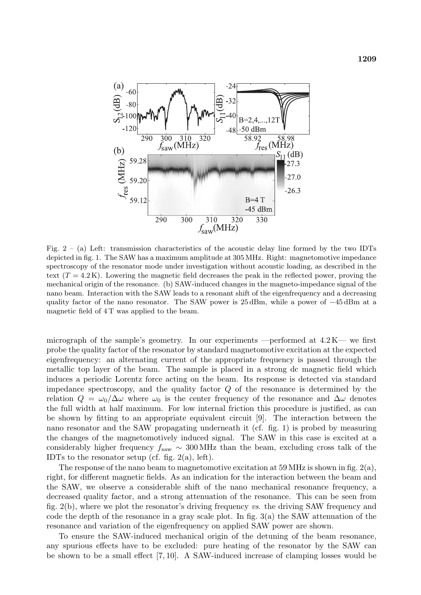

Fig.  $2 - (a)$  Left: transmission characteristics of the acoustic delay line formed by the two IDTs depicted in fig. 1. The SAW has a maximum amplitude at 305 MHz. Right: magnetomotive impedance spectroscopy of the resonator mode under investigation without acoustic loading, as described in the text  $(T = 4.2 \text{ K})$ . Lowering the magnetic field decreases the peak in the reflected power, proving the mechanical origin of the resonance. (b) SAW-induced changes in the magneto-impedance signal of the nano beam. Interaction with the SAW leads to a resonant shift of the eigenfrequency and a decreasing quality factor of the nano resonator. The SAW power is 25 dBm, while a power of −45 dBm at a magnetic field of 4 T was applied to the beam.

micrograph of the sample's geometry. In our experiments —performed at  $4.2 \text{ K}$ — we first probe the quality factor of the resonator by standard magnetomotive excitation at the expected eigenfrequency: an alternating current of the appropriate frequency is passed through the metallic top layer of the beam. The sample is placed in a strong dc magnetic field which induces a periodic Lorentz force acting on the beam. Its response is detected via standard impedance spectroscopy, and the quality factor Q of the resonance is determined by the relation  $Q = \omega_0/\Delta\omega$  where  $\omega_0$  is the center frequency of the resonance and  $\Delta\omega$  denotes the full width at half maximum. For low internal friction this procedure is justified, as can be shown by fitting to an appropriate equivalent circuit [9]. The interaction between the nano resonator and the SAW propagating underneath it (cf. fig. 1) is probed by measuring the changes of the magnetomotively induced signal. The SAW in this case is excited at a considerably higher frequency  $f_{\text{saw}} \sim 300 \text{ MHz}$  than the beam, excluding cross talk of the IDTs to the resonator setup (cf. fig.  $2(a)$ , left).

The response of the nano beam to magnetomotive excitation at 59 MHz is shown in fig.  $2(a)$ , right, for different magnetic fields. As an indication for the interaction between the beam and the SAW, we observe a considerable shift of the nano mechanical resonance frequency, a decreased quality factor, and a strong attenuation of the resonance. This can be seen from fig. 2(b), where we plot the resonator's driving frequency *vs*. the driving SAW frequency and code the depth of the resonance in a gray scale plot. In fig.  $3(a)$  the SAW attenuation of the resonance and variation of the eigenfrequency on applied SAW power are shown.

To ensure the SAW-induced mechanical origin of the detuning of the beam resonance, any spurious effects have to be excluded: pure heating of the resonator by the SAW can be shown to be a small effect [7, 10]. A SAW-induced increase of clamping losses would be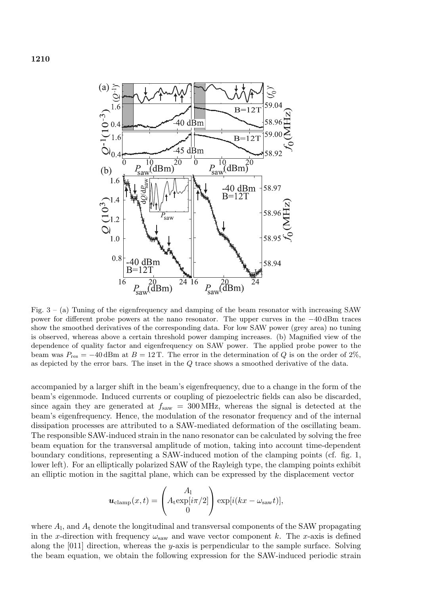



Fig.  $3 - (a)$  Tuning of the eigenfrequency and damping of the beam resonator with increasing SAW power for different probe powers at the nano resonator. The upper curves in the −40 dBm traces show the smoothed derivatives of the corresponding data. For low SAW power (grey area) no tuning is observed, whereas above a certain threshold power damping increases. (b) Magnified view of the dependence of quality factor and eigenfrequency on SAW power. The applied probe power to the beam was  $P_{\text{res}} = -40 \,\text{dBm}$  at  $B = 12 \,\text{T}$ . The error in the determination of Q is on the order of 2%, as depicted by the error bars. The inset in the Q trace shows a smoothed derivative of the data.

accompanied by a larger shift in the beam's eigenfrequency, due to a change in the form of the beam's eigenmode. Induced currents or coupling of piezoelectric fields can also be discarded, since again they are generated at  $f_{\text{saw}} = 300 \text{ MHz}$ , whereas the signal is detected at the beam's eigenfrequency. Hence, the modulation of the resonator frequency and of the internal dissipation processes are attributed to a SAW-mediated deformation of the oscillating beam. The responsible SAW-induced strain in the nano resonator can be calculated by solving the free beam equation for the transversal amplitude of motion, taking into account time-dependent boundary conditions, representing a SAW-induced motion of the clamping points (cf. fig. 1, lower left). For an elliptically polarized SAW of the Rayleigh type, the clamping points exhibit an elliptic motion in the sagittal plane, which can be expressed by the displacement vector

$$
\boldsymbol{u}_{\text{clamp}}(x,t) = \begin{pmatrix} A_1 \\ A_{\text{t}} \exp[i\pi/2] \\ 0 \end{pmatrix} \exp[i(kx - \omega_{\text{sav}}t)],
$$

where  $A<sub>1</sub>$ , and  $A<sub>t</sub>$  denote the longitudinal and transversal components of the SAW propagating in the x-direction with frequency  $\omega_{\text{saw}}$  and wave vector component k. The x-axis is defined along the  $[011]$  direction, whereas the y-axis is perpendicular to the sample surface. Solving the beam equation, we obtain the following expression for the SAW-induced periodic strain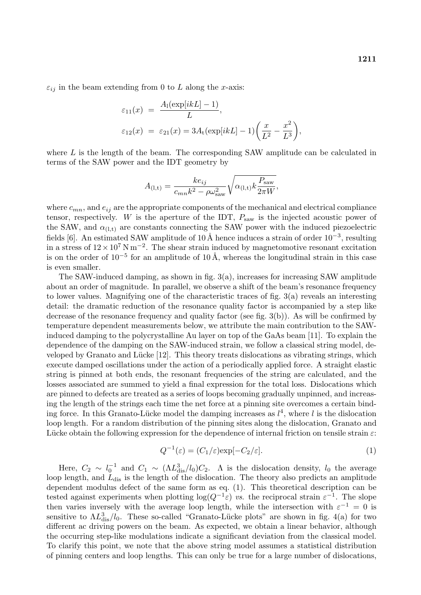$\varepsilon_{ij}$  in the beam extending from 0 to L along the x-axis:

$$
\varepsilon_{11}(x) = \frac{A_1(\exp[ikL] - 1)}{L},
$$
  
\n
$$
\varepsilon_{12}(x) = \varepsilon_{21}(x) = 3A_t(\exp[ikL] - 1)\left(\frac{x}{L^2} - \frac{x^2}{L^3}\right),
$$

where  $L$  is the length of the beam. The corresponding SAW amplitude can be calculated in terms of the SAW power and the IDT geometry by

$$
A_{(\mathbf{l},\mathbf{t})} = \frac{ke_{ij}}{c_{mn}k^2 - \rho\omega_{\text{saw}}^2} \sqrt{\alpha_{(\mathbf{l},\mathbf{t})}k\frac{P_{\text{saw}}}{2\pi W}},
$$

where  $c_{mn}$ , and  $e_{ij}$  are the appropriate components of the mechanical and electrical compliance tensor, respectively. W is the aperture of the IDT,  $P_{\text{saw}}$  is the injected acoustic power of the SAW, and  $\alpha_{(1,t)}$  are constants connecting the SAW power with the induced piezoelectric fields [6]. An estimated SAW amplitude of 10 Å hence induces a strain of order  $10^{-3}$ , resulting in a stress of  $12 \times 10^7$  N m<sup>−2</sup>. The shear strain induced by magnetomotive resonant excitation is on the order of 10<sup>-5</sup> for an amplitude of 10 Å, whereas the longitudinal strain in this case is even smaller.

The SAW-induced damping, as shown in fig.  $3(a)$ , increases for increasing SAW amplitude about an order of magnitude. In parallel, we observe a shift of the beam's resonance frequency to lower values. Magnifying one of the characteristic traces of fig. 3(a) reveals an interesting detail: the dramatic reduction of the resonance quality factor is accompanied by a step like decrease of the resonance frequency and quality factor (see fig. 3(b)). As will be confirmed by temperature dependent measurements below, we attribute the main contribution to the SAWinduced damping to the polycrystalline Au layer on top of the GaAs beam [11]. To explain the dependence of the damping on the SAW-induced strain, we follow a classical string model, developed by Granato and Lücke  $[12]$ . This theory treats dislocations as vibrating strings, which execute damped oscillations under the action of a periodically applied force. A straight elastic string is pinned at both ends, the resonant frequencies of the string are calculated, and the losses associated are summed to yield a final expression for the total loss. Dislocations which are pinned to defects are treated as a series of loops becoming gradually unpinned, and increasing the length of the strings each time the net force at a pinning site overcomes a certain binding force. In this Granato-Lücke model the damping increases as  $l^4$ , where l is the dislocation loop length. For a random distribution of the pinning sites along the dislocation, Granato and Lücke obtain the following expression for the dependence of internal friction on tensile strain  $\varepsilon$ :

$$
Q^{-1}(\varepsilon) = (C_1/\varepsilon) \exp[-C_2/\varepsilon]. \tag{1}
$$

Here,  $C_2 \sim l_0^{-1}$  and  $C_1 \sim (\Lambda L_{\text{dis}}^3/l_0)C_2$ . A is the dislocation density,  $l_0$  the average loop length, and  $L_{dis}$  is the length of the dislocation. The theory also predicts an amplitude dependent modulus defect of the same form as eq. (1). This theoretical description can be tested against experiments when plotting  $log(Q^{-1} \varepsilon)$  *vs*. the reciprocal strain  $\varepsilon^{-1}$ . The slope then varies inversely with the average loop length, while the intersection with  $\varepsilon^{-1} = 0$  is sensitive to  $\Lambda L_{dis}^3/l_0$ . These so-called "Granato-Lücke plots" are shown in fig. 4(a) for two different ac driving powers on the beam. As expected, we obtain a linear behavior, although the occurring step-like modulations indicate a significant deviation from the classical model. To clarify this point, we note that the above string model assumes a statistical distribution of pinning centers and loop lengths. This can only be true for a large number of dislocations,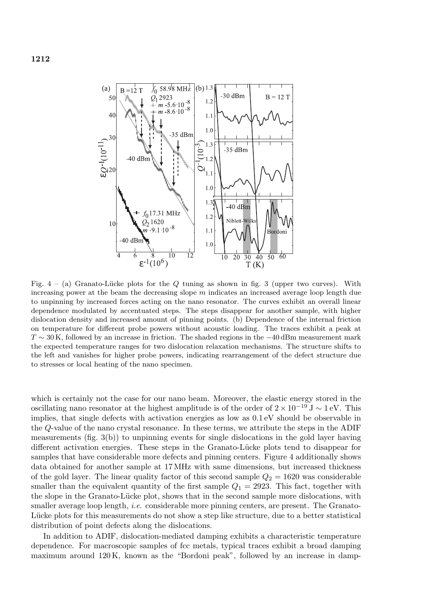

Fig.  $4 - (a)$  Granato-Lucke plots for the Q tuning as shown in fig. 3 (upper two curves). With increasing power at the beam the decreasing slope  $m$  indicates an increased average loop length due to unpinning by increased forces acting on the nano resonator. The curves exhibit an overall linear dependence modulated by accentuated steps. The steps disappear for another sample, with higher dislocation density and increased amount of pinning points. (b) Dependence of the internal friction on temperature for different probe powers without acoustic loading. The traces exhibit a peak at  $T \sim 30$  K, followed by an increase in friction. The shaded regions in the  $-40$  dBm measurement mark the expected temperature ranges for two dislocation relaxation mechanisms. The structure shifts to the left and vanishes for higher probe powers, indicating rearrangement of the defect structure due to stresses or local heating of the nano specimen.

which is certainly not the case for our nano beam. Moreover, the elastic energy stored in the oscillating nano resonator at the highest amplitude is of the order of 2 × 10 *<sup>−</sup>*<sup>19</sup> <sup>J</sup> <sup>∼</sup> <sup>1</sup> eV. This implies, that single defects with activation energies as low as 0.1 eV should be observable in the Q-value of the nano crystal resonance. In these terms, we attribute the steps in the ADIF measurements (fig. 3(b)) to unpinning events for single dislocations in the gold layer having different activation energies. These steps in the Granato-Lücke plots tend to disappear for samples that have considerable more defects and pinning centers. Figure 4 additionally shows data obtained for another sample at 17 MHz with same dimensions, but increased thickness of the gold layer. The linear quality factor of this second sample  $Q_2 = 1620$  was considerable smaller than the equivalent quantity of the first sample  $Q_1 = 2923$ . This fact, together with the slope in the Granato-Lücke plot, shows that in the second sample more dislocations, with smaller average loop length, *i.e.* considerable more pinning centers, are present. The Granato-Lucke plots for this measurements do not show a step like structure, due to a better statistical distribution of point defects along the dislocations.

In addition to ADIF, dislocation-mediated damping exhibits a characteristic temperature dependence. For macroscopic samples of fcc metals, typical traces exhibit a broad damping maximum around 120 K, known as the "Bordoni peak", followed by an increase in damp